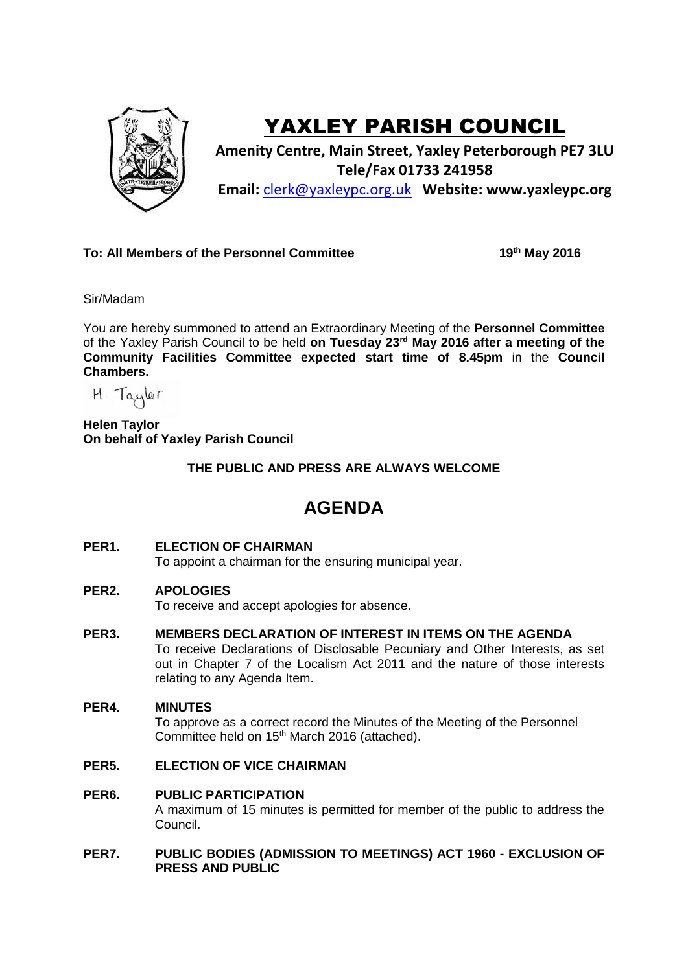

# YAXLEY PARISH COUNCIL

**Amenity Centre, Main Street, Yaxley Peterborough PE7 3LU Tele/Fax 01733 241958 Email:** [clerk@yaxleypc.org.uk](mailto:clerk@yaxleypc.org.uk) **Website: www.yaxleypc.org**

**To: All Members of the Personnel Committee** 

**th May 2016**

Sir/Madam

You are hereby summoned to attend an Extraordinary Meeting of the **Personnel Committee** of the Yaxley Parish Council to be held **on Tuesday 23rd May 2016 after a meeting of the Community Facilities Committee expected start time of 8.45pm** in the **Council Chambers.**

 $H.$  Taylor

**Helen Taylor On behalf of Yaxley Parish Council**

**THE PUBLIC AND PRESS ARE ALWAYS WELCOME**

## **AGENDA**

**PER1. ELECTION OF CHAIRMAN**

To appoint a chairman for the ensuring municipal year.

**PER2. APOLOGIES**

To receive and accept apologies for absence.

- **PER3. MEMBERS DECLARATION OF INTEREST IN ITEMS ON THE AGENDA** To receive Declarations of Disclosable Pecuniary and Other Interests, as set out in Chapter 7 of the Localism Act 2011 and the nature of those interests relating to any Agenda Item.
- **PER4. MINUTES** To approve as a correct record the Minutes of the Meeting of the Personnel Committee held on 15<sup>th</sup> March 2016 (attached).
- **PER5. ELECTION OF VICE CHAIRMAN**
- **PER6. PUBLIC PARTICIPATION** A maximum of 15 minutes is permitted for member of the public to address the Council.

### **PER7. PUBLIC BODIES (ADMISSION TO MEETINGS) ACT 1960 - EXCLUSION OF PRESS AND PUBLIC**